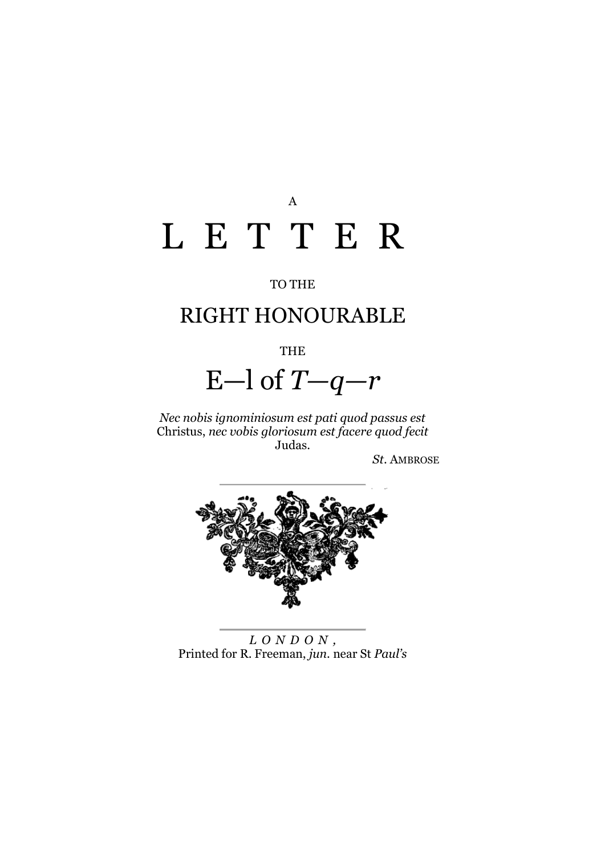# A L E T T E R

#### TO THE

## RIGHT HONOURABLE

#### THE

# E—l of *T—q—r*

*Nec nobis ignominiosum est pati quod passus est*  Christus, *nec vobis gloriosum est facere quod fecit*  Judas.

*St*. AMBROSE



*L O N D O N ,* Printed for R. Freeman, *jun*. near St *Paul's*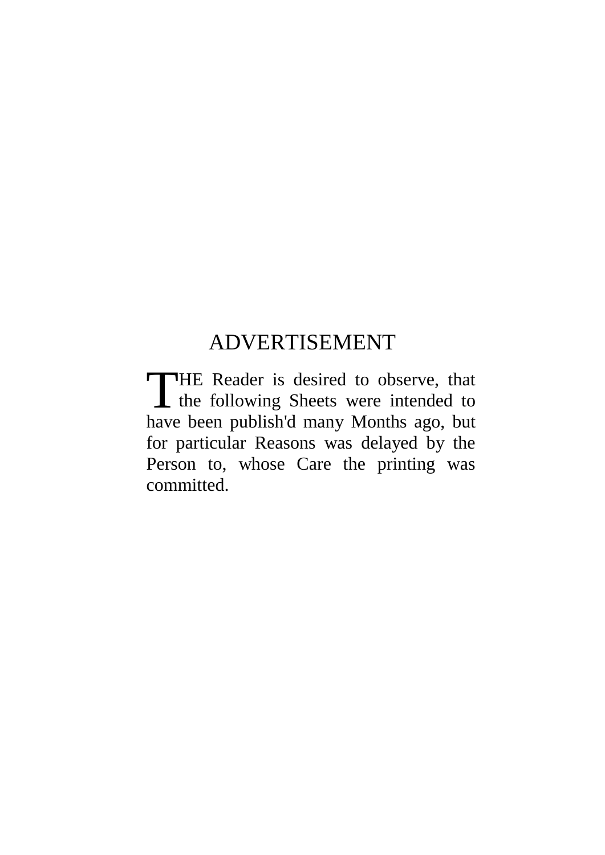## ADVERTISEMENT

HE Reader is desired to observe, that THE Reader is desired to observe, that<br>the following Sheets were intended to have been publish'd many Months ago, but for particular Reasons was delayed by the Person to, whose Care the printing was committed.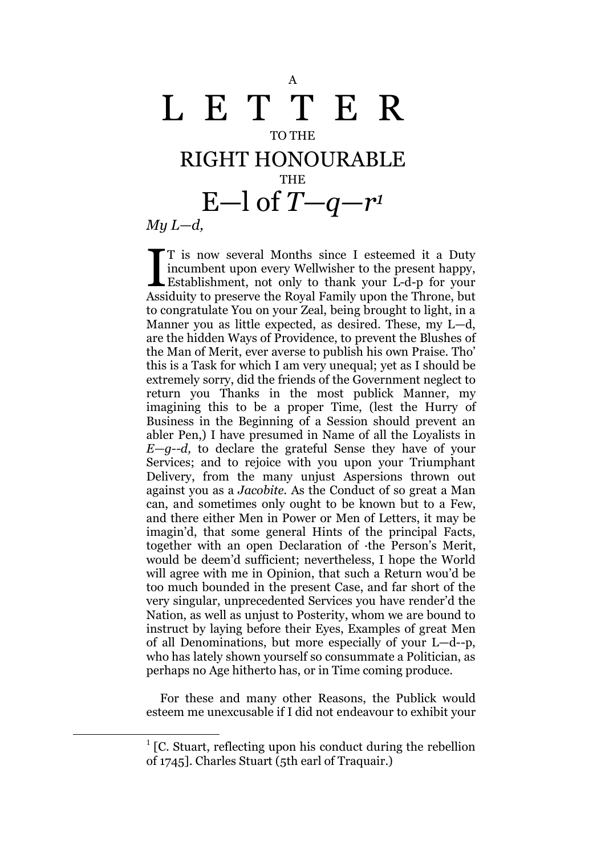### A L E T T E R TO THE RIGHT HONOURABLE **THE** E—l of  $T-q-r$ <sup>1</sup> *My L—d,*

T is now several Months since I esteemed it a Duty incumbent upon every Wellwisher to the present happy, T is now several Months since I esteemed it a Duty<br>incumbent upon every Wellwisher to the present happy,<br>Establishment, not only to thank your L-d-p for your<br>Assiduity to present the Royal Family upon the Throne but Assiduity to preserve the Royal Family upon the Throne, but to congratulate You on your Zeal, being brought to light, in a Manner you as little expected, as desired. These, my L—d, are the hidden Ways of Providence, to prevent the Blushes of the Man of Merit, ever averse to publish his own Praise. Tho' this is a Task for which I am very unequal; yet as I should be extremely sorry, did the friends of the Government neglect to return you Thanks in the most publick Manner, my imagining this to be a proper Time, (lest the Hurry of Business in the Beginning of a Session should prevent an abler Pen,) I have presumed in Name of all the Loyalists in *E—g--d,* to declare the grateful Sense they have of your Services; and to rejoice with you upon your Triumphant Delivery, from the many unjust Aspersions thrown out against you as a *Jacobite.* As the Conduct of so great a Man can, and sometimes only ought to be known but to a Few, and there either Men in Power or Men of Letters, it may be imagin'd, that some general Hints of the principal Facts, together with an open Declaration of ·the Person's Merit, would be deem'd sufficient; nevertheless, I hope the World will agree with me in Opinion, that such a Return wou'd be too much bounded in the present Case, and far short of the very singular, unprecedented Services you have render'd the Nation, as well as unjust to Posterity, whom we are bound to instruct by laying before their Eyes, Examples of great Men of all Denominations, but more especially of your L—d--p, who has lately shown yourself so consummate a Politician, as perhaps no Age hitherto has, or in Time coming produce.

For these and many other Reasons, the Publick would esteem me unexcusable if I did not endeavour to exhibit your

1

<sup>&</sup>lt;sup>1</sup> [C. Stuart, reflecting upon his conduct during the rebellion of 1745]. Charles Stuart (5th earl of Traquair.)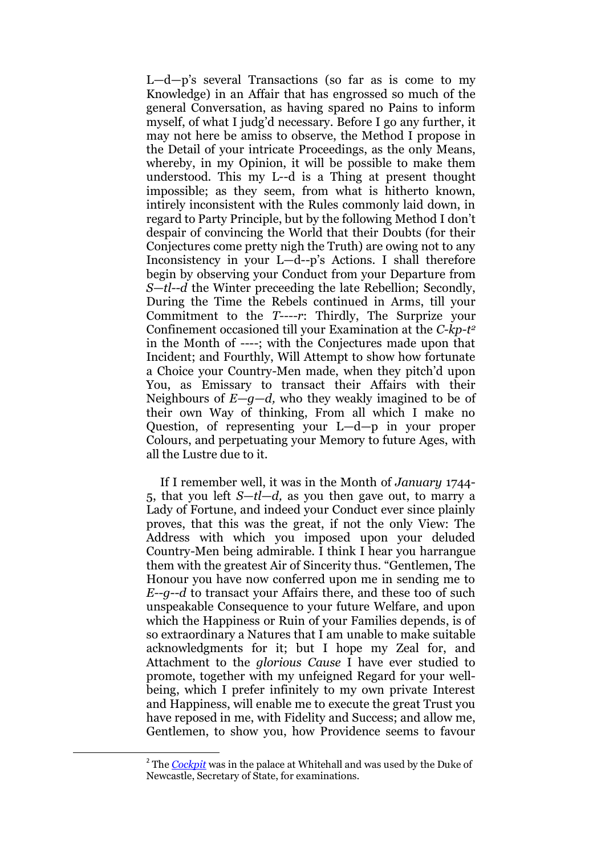L—d—p's several Transactions (so far as is come to my Knowledge) in an Affair that has engrossed so much of the general Conversation, as having spared no Pains to inform myself, of what I judg'd necessary. Before I go any further, it may not here be amiss to observe, the Method I propose in the Detail of your intricate Proceedings, as the only Means, whereby, in my Opinion, it will be possible to make them understood. This my L--d is a Thing at present thought impossible; as they seem, from what is hitherto known, intirely inconsistent with the Rules commonly laid down, in regard to Party Principle, but by the following Method I don't despair of convincing the World that their Doubts (for their Conjectures come pretty nigh the Truth) are owing not to any Inconsistency in your L—d--p's Actions. I shall therefore begin by observing your Conduct from your Departure from *S—tl--d* the Winter preceeding the late Rebellion; Secondly, During the Time the Rebels continued in Arms, till your Commitment to the *T----r*: Thirdly, The Surprize your Confinement occasioned till your Examination at the *C-kp-t 2* in the Month of ----; with the Conjectures made upon that Incident; and Fourthly, Will Attempt to show how fortunate a Choice your Country-Men made, when they pitch'd upon You, as Emissary to transact their Affairs with their Neighbours of *E—g—d,* who they weakly imagined to be of their own Way of thinking, From all which I make no Question, of representing your L—d—p in your proper Colours, and perpetuating your Memory to future Ages, with all the Lustre due to it.

If I remember well, it was in the Month of *January* 1744- 5, that you left *S—tl—d,* as you then gave out, to marry a Lady of Fortune, and indeed your Conduct ever since plainly proves, that this was the great, if not the only View: The Address with which you imposed upon your deluded Country-Men being admirable. I think I hear you harrangue them with the greatest Air of Sincerity thus. "Gentlemen, The Honour you have now conferred upon me in sending me to *E--g*--*d* to transact your Affairs there, and these too of such unspeakable Consequence to your future Welfare, and upon which the Happiness or Ruin of your Families depends, is of so extraordinary a Natures that I am unable to make suitable acknowledgments for it; but I hope my Zeal for, and Attachment to the *glorious Cause* I have ever studied to promote, together with my unfeigned Regard for your wellbeing, which I prefer infinitely to my own private Interest and Happiness, will enable me to execute the great Trust you have reposed in me, with Fidelity and Success; and allow me, Gentlemen, to show you, how Providence seems to favour

1

<sup>&</sup>lt;sup>2</sup> The *[Cockpit](http://www.londonancestor.com/maps/whitehall-palace.htm)* was in the palace at Whitehall and was used by the Duke of Newcastle, Secretary of State, for examinations.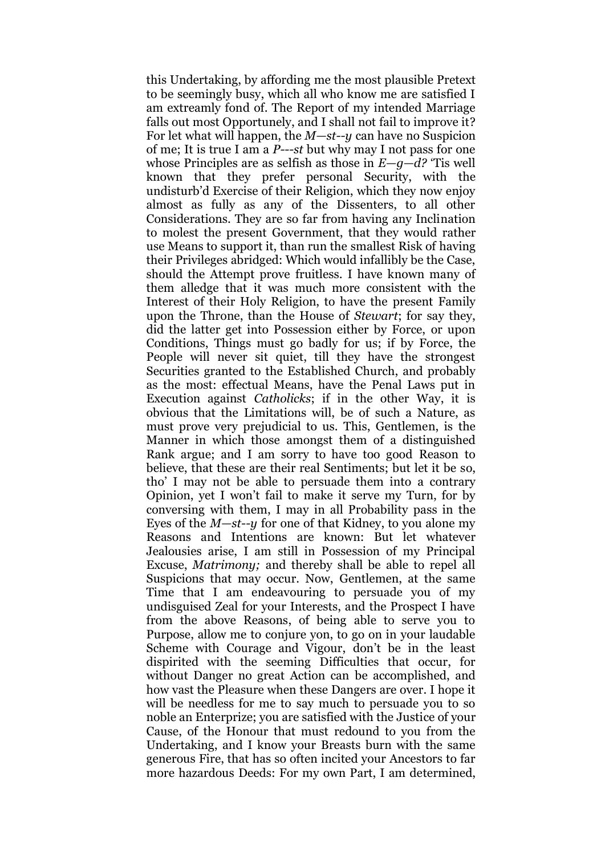this Undertaking, by affording me the most plausible Pretext to be seemingly busy, which all who know me are satisfied I am extreamly fond of. The Report of my intended Marriage falls out most Opportunely, and I shall not fail to improve it? For let what will happen, the *M—st--y* can have no Suspicion of me; It is true I am a *P---st* but why may I not pass for one whose Principles are as selfish as those in *E—g—d?* 'Tis well known that they prefer personal Security, with the undisturb'd Exercise of their Religion, which they now enjoy almost as fully as any of the Dissenters, to all other Considerations. They are so far from having any Inclination to molest the present Government, that they would rather use Means to support it, than run the smallest Risk of having their Privileges abridged: Which would infallibly be the Case, should the Attempt prove fruitless. I have known many of them alledge that it was much more consistent with the Interest of their Holy Religion, to have the present Family upon the Throne, than the House of *Stewart*; for say they, did the latter get into Possession either by Force, or upon Conditions, Things must go badly for us; if by Force, the People will never sit quiet, till they have the strongest Securities granted to the Established Church, and probably as the most: effectual Means, have the Penal Laws put in Execution against *Catholicks*; if in the other Way, it is obvious that the Limitations will, be of such a Nature, as must prove very prejudicial to us. This, Gentlemen, is the Manner in which those amongst them of a distinguished Rank argue; and I am sorry to have too good Reason to believe, that these are their real Sentiments; but let it be so, tho' I may not be able to persuade them into a contrary Opinion, yet I won't fail to make it serve my Turn, for by conversing with them, I may in all Probability pass in the Eyes of the *M—st--y* for one of that Kidney, to you alone my Reasons and Intentions are known: But let whatever Jealousies arise, I am still in Possession of my Principal Excuse, *Matrimony;* and thereby shall be able to repel all Suspicions that may occur. Now, Gentlemen, at the same Time that I am endeavouring to persuade you of my undisguised Zeal for your Interests, and the Prospect I have from the above Reasons, of being able to serve you to Purpose, allow me to conjure yon, to go on in your laudable Scheme with Courage and Vigour, don't be in the least dispirited with the seeming Difficulties that occur, for without Danger no great Action can be accomplished, and how vast the Pleasure when these Dangers are over. I hope it will be needless for me to say much to persuade you to so noble an Enterprize; you are satisfied with the Justice of your Cause, of the Honour that must redound to you from the Undertaking, and I know your Breasts burn with the same generous Fire, that has so often incited your Ancestors to far more hazardous Deeds: For my own Part, I am determined,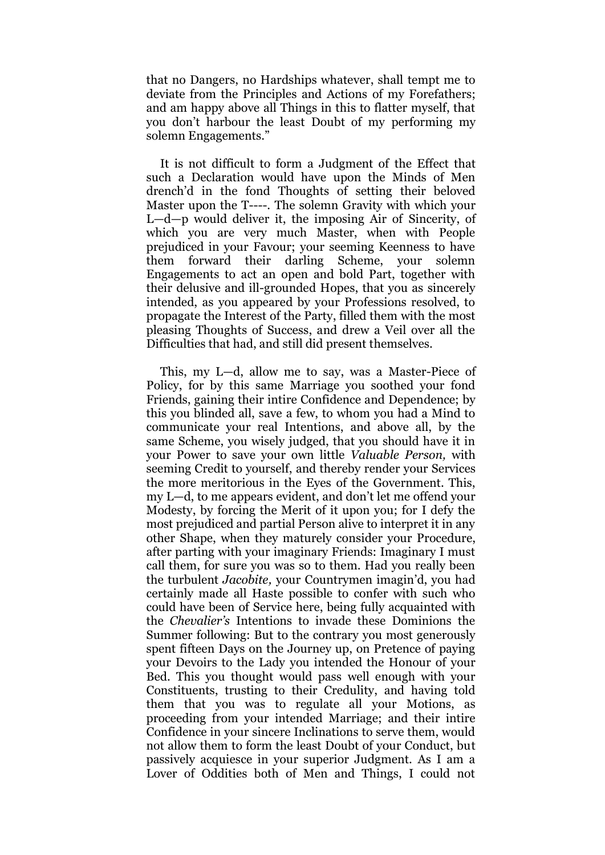that no Dangers, no Hardships whatever, shall tempt me to deviate from the Principles and Actions of my Forefathers; and am happy above all Things in this to flatter myself, that you don't harbour the least Doubt of my performing my solemn Engagements."

It is not difficult to form a Judgment of the Effect that such a Declaration would have upon the Minds of Men drench'd in the fond Thoughts of setting their beloved Master upon the T----. The solemn Gravity with which your L—d—p would deliver it, the imposing Air of Sincerity, of which you are very much Master, when with People prejudiced in your Favour; your seeming Keenness to have them forward their darling Scheme, your solemn Engagements to act an open and bold Part, together with their delusive and ill-grounded Hopes, that you as sincerely intended, as you appeared by your Professions resolved, to propagate the Interest of the Party, filled them with the most pleasing Thoughts of Success, and drew a Veil over all the Difficulties that had, and still did present themselves.

This, my L—d, allow me to say, was a Master-Piece of Policy, for by this same Marriage you soothed your fond Friends, gaining their intire Confidence and Dependence; by this you blinded all, save a few, to whom you had a Mind to communicate your real Intentions, and above all, by the same Scheme, you wisely judged, that you should have it in your Power to save your own little *Valuable Person,* with seeming Credit to yourself, and thereby render your Services the more meritorious in the Eyes of the Government. This, my L—d, to me appears evident, and don't let me offend your Modesty, by forcing the Merit of it upon you; for I defy the most prejudiced and partial Person alive to interpret it in any other Shape, when they maturely consider your Procedure, after parting with your imaginary Friends: Imaginary I must call them, for sure you was so to them. Had you really been the turbulent *Jacobite,* your Countrymen imagin'd, you had certainly made all Haste possible to confer with such who could have been of Service here, being fully acquainted with the *Chevalier's* Intentions to invade these Dominions the Summer following: But to the contrary you most generously spent fifteen Days on the Journey up, on Pretence of paying your Devoirs to the Lady you intended the Honour of your Bed. This you thought would pass well enough with your Constituents, trusting to their Credulity, and having told them that you was to regulate all your Motions, as proceeding from your intended Marriage; and their intire Confidence in your sincere Inclinations to serve them, would not allow them to form the least Doubt of your Conduct, but passively acquiesce in your superior Judgment. As I am a Lover of Oddities both of Men and Things, I could not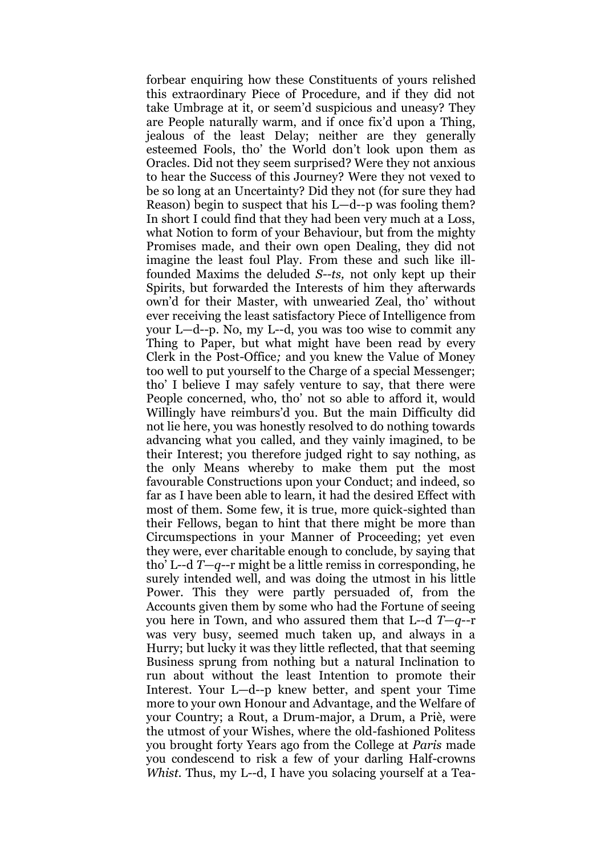forbear enquiring how these Constituents of yours relished this extraordinary Piece of Procedure, and if they did not take Umbrage at it, or seem'd suspicious and uneasy? They are People naturally warm, and if once fix'd upon a Thing, jealous of the least Delay; neither are they generally esteemed Fools, tho' the World don't look upon them as Oracles. Did not they seem surprised? Were they not anxious to hear the Success of this Journey? Were they not vexed to be so long at an Uncertainty? Did they not (for sure they had Reason) begin to suspect that his L—d--p was fooling them? In short I could find that they had been very much at a Loss, what Notion to form of your Behaviour, but from the mighty Promises made, and their own open Dealing, they did not imagine the least foul Play. From these and such like illfounded Maxims the deluded *S--ts,* not only kept up their Spirits, but forwarded the Interests of him they afterwards own'd for their Master, with unwearied Zeal, tho' without ever receiving the least satisfactory Piece of Intelligence from your L—d--p. No, my L--d, you was too wise to commit any Thing to Paper, but what might have been read by every Clerk in the Post-Office*;* and you knew the Value of Money too well to put yourself to the Charge of a special Messenger; tho' I believe I may safely venture to say, that there were People concerned, who, tho' not so able to afford it, would Willingly have reimburs'd you. But the main Difficulty did not lie here, you was honestly resolved to do nothing towards advancing what you called, and they vainly imagined, to be their Interest; you therefore judged right to say nothing, as the only Means whereby to make them put the most favourable Constructions upon your Conduct; and indeed, so far as I have been able to learn, it had the desired Effect with most of them. Some few, it is true, more quick-sighted than their Fellows, began to hint that there might be more than Circumspections in your Manner of Proceeding; yet even they were, ever charitable enough to conclude, by saying that tho' L--d *T—q*--r might be a little remiss in corresponding, he surely intended well, and was doing the utmost in his little Power. This they were partly persuaded of, from the Accounts given them by some who had the Fortune of seeing you here in Town, and who assured them that L--d *T*—*q*--r was very busy, seemed much taken up, and always in a Hurry; but lucky it was they little reflected, that that seeming Business sprung from nothing but a natural Inclination to run about without the least Intention to promote their Interest. Your L—d--p knew better, and spent your Time more to your own Honour and Advantage, and the Welfare of your Country; a Rout, a Drum-major, a Drum, a Priè, were the utmost of your Wishes, where the old-fashioned Politess you brought forty Years ago from the College at *Paris* made you condescend to risk a few of your darling Half-crowns *Whist.* Thus, my L--d, I have you solacing yourself at a Tea-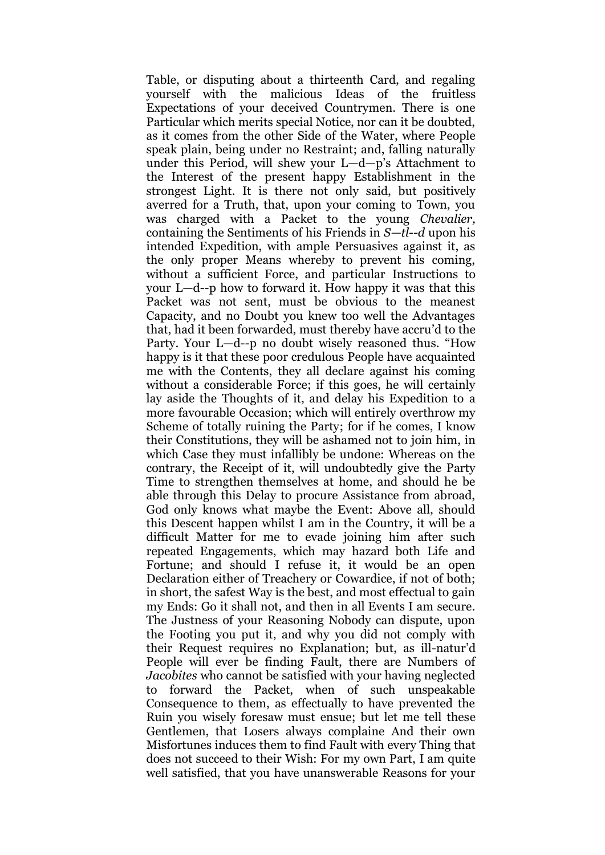Table, or disputing about a thirteenth Card, and regaling yourself with the malicious Ideas of the fruitless Expectations of your deceived Countrymen. There is one Particular which merits special Notice, nor can it be doubted, as it comes from the other Side of the Water, where People speak plain, being under no Restraint; and, falling naturally under this Period, will shew your L—d—p's Attachment to the Interest of the present happy Establishment in the strongest Light. It is there not only said, but positively averred for a Truth, that, upon your coming to Town, you was charged with a Packet to the young *Chevalier,*  containing the Sentiments of his Friends in *S—tl--d* upon his intended Expedition, with ample Persuasives against it, as the only proper Means whereby to prevent his coming, without a sufficient Force, and particular Instructions to your L—d--p how to forward it. How happy it was that this Packet was not sent, must be obvious to the meanest Capacity, and no Doubt you knew too well the Advantages that, had it been forwarded, must thereby have accru'd to the Party. Your L—d--p no doubt wisely reasoned thus. "How happy is it that these poor credulous People have acquainted me with the Contents, they all declare against his coming without a considerable Force; if this goes, he will certainly lay aside the Thoughts of it, and delay his Expedition to a more favourable Occasion; which will entirely overthrow my Scheme of totally ruining the Party; for if he comes, I know their Constitutions, they will be ashamed not to join him, in which Case they must infallibly be undone: Whereas on the contrary, the Receipt of it, will undoubtedly give the Party Time to strengthen themselves at home, and should he be able through this Delay to procure Assistance from abroad, God only knows what maybe the Event: Above all, should this Descent happen whilst I am in the Country, it will be a difficult Matter for me to evade joining him after such repeated Engagements, which may hazard both Life and Fortune; and should I refuse it, it would be an open Declaration either of Treachery or Cowardice, if not of both; in short, the safest Way is the best, and most effectual to gain my Ends: Go it shall not, and then in all Events I am secure. The Justness of your Reasoning Nobody can dispute, upon the Footing you put it, and why you did not comply with their Request requires no Explanation; but, as ill-natur'd People will ever be finding Fault, there are Numbers of *Jacobites* who cannot be satisfied with your having neglected to forward the Packet, when of such unspeakable Consequence to them, as effectually to have prevented the Ruin you wisely foresaw must ensue; but let me tell these Gentlemen, that Losers always complaine And their own Misfortunes induces them to find Fault with every Thing that does not succeed to their Wish: For my own Part, I am quite well satisfied, that you have unanswerable Reasons for your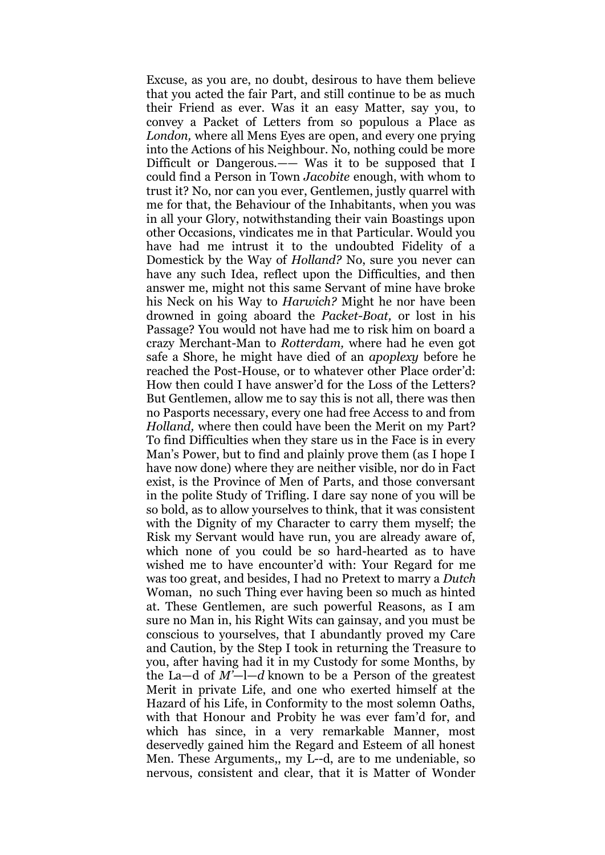Excuse, as you are, no doubt, desirous to have them believe that you acted the fair Part, and still continue to be as much their Friend as ever. Was it an easy Matter, say you, to convey a Packet of Letters from so populous a Place as *London,* where all Mens Eyes are open, and every one prying into the Actions of his Neighbour. No, nothing could be more Difficult or Dangerous.—— Was it to be supposed that I could find a Person in Town *Jacobite* enough, with whom to trust it? No, nor can you ever, Gentlemen, justly quarrel with me for that, the Behaviour of the Inhabitants, when you was in all your Glory, notwithstanding their vain Boastings upon other Occasions, vindicates me in that Particular. Would you have had me intrust it to the undoubted Fidelity of a Domestick by the Way of *Holland?* No, sure you never can have any such Idea, reflect upon the Difficulties, and then answer me, might not this same Servant of mine have broke his Neck on his Way to *Harwich?* Might he nor have been drowned in going aboard the *Packet-Boat,* or lost in his Passage? You would not have had me to risk him on board a crazy Merchant-Man to *Rotterdam,* where had he even got safe a Shore, he might have died of an *apoplexy* before he reached the Post-House, or to whatever other Place order'd: How then could I have answer'd for the Loss of the Letters? But Gentlemen, allow me to say this is not all, there was then no Pasports necessary, every one had free Access to and from *Holland,* where then could have been the Merit on my Part? To find Difficulties when they stare us in the Face is in every Man's Power, but to find and plainly prove them (as I hope I have now done) where they are neither visible, nor do in Fact exist, is the Province of Men of Parts, and those conversant in the polite Study of Trifling. I dare say none of you will be so bold, as to allow yourselves to think, that it was consistent with the Dignity of my Character to carry them myself; the Risk my Servant would have run, you are already aware of, which none of you could be so hard-hearted as to have wished me to have encounter'd with: Your Regard for me was too great, and besides, I had no Pretext to marry a *Dutch*  Woman, no such Thing ever having been so much as hinted at. These Gentlemen, are such powerful Reasons, as I am sure no Man in, his Right Wits can gainsay, and you must be conscious to yourselves, that I abundantly proved my Care and Caution, by the Step I took in returning the Treasure to you, after having had it in my Custody for some Months, by the La—d of *M'*—l—*d* known to be a Person of the greatest Merit in private Life, and one who exerted himself at the Hazard of his Life, in Conformity to the most solemn Oaths, with that Honour and Probity he was ever fam'd for, and which has since, in a very remarkable Manner, most deservedly gained him the Regard and Esteem of all honest Men. These Arguments,, my L--d, are to me undeniable, so nervous, consistent and clear, that it is Matter of Wonder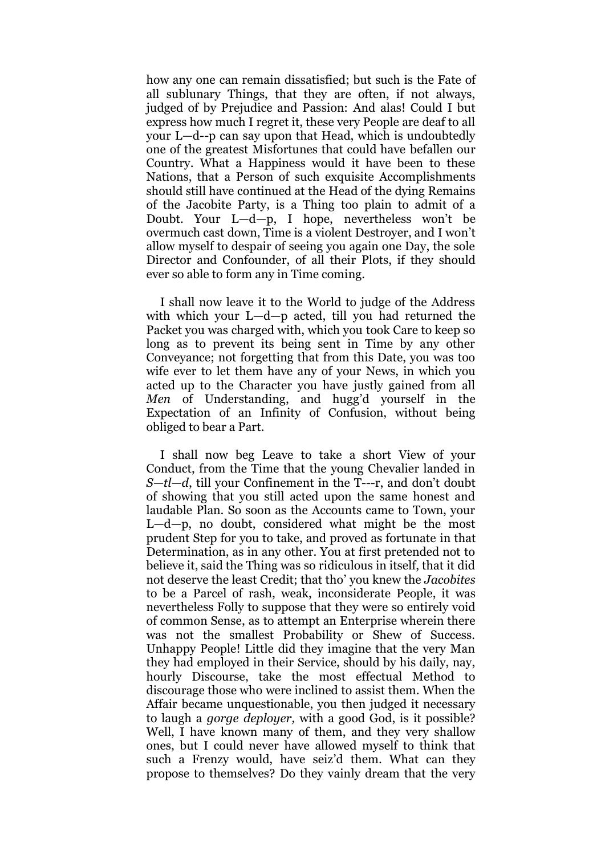how any one can remain dissatisfied; but such is the Fate of all sublunary Things, that they are often, if not always, judged of by Prejudice and Passion: And alas! Could I but express how much I regret it, these very People are deaf to all your L—d--p can say upon that Head, which is undoubtedly one of the greatest Misfortunes that could have befallen our Country. What a Happiness would it have been to these Nations, that a Person of such exquisite Accomplishments should still have continued at the Head of the dying Remains of the Jacobite Party, is a Thing too plain to admit of a Doubt. Your L—d—p, I hope, nevertheless won't be overmuch cast down, Time is a violent Destroyer, and I won't allow myself to despair of seeing you again one Day, the sole Director and Confounder, of all their Plots, if they should ever so able to form any in Time coming.

I shall now leave it to the World to judge of the Address with which your L—d—p acted, till you had returned the Packet you was charged with, which you took Care to keep so long as to prevent its being sent in Time by any other Conveyance; not forgetting that from this Date, you was too wife ever to let them have any of your News, in which you acted up to the Character you have justly gained from all *Men* of Understanding, and hugg'd yourself in the Expectation of an Infinity of Confusion, without being obliged to bear a Part.

I shall now beg Leave to take a short View of your Conduct, from the Time that the young Chevalier landed in *S—tl*—*d*, till your Confinement in the T---r, and don't doubt of showing that you still acted upon the same honest and laudable Plan. So soon as the Accounts came to Town, your L—d—p, no doubt, considered what might be the most prudent Step for you to take, and proved as fortunate in that Determination, as in any other. You at first pretended not to believe it, said the Thing was so ridiculous in itself, that it did not deserve the least Credit; that tho' you knew the *Jacobites*  to be a Parcel of rash, weak, inconsiderate People, it was nevertheless Folly to suppose that they were so entirely void of common Sense, as to attempt an Enterprise wherein there was not the smallest Probability or Shew of Success. Unhappy People! Little did they imagine that the very Man they had employed in their Service, should by his daily, nay, hourly Discourse, take the most effectual Method to discourage those who were inclined to assist them. When the Affair became unquestionable, you then judged it necessary to laugh a *gorge deployer,* with a good God, is it possible? Well, I have known many of them, and they very shallow ones, but I could never have allowed myself to think that such a Frenzy would, have seiz'd them. What can they propose to themselves? Do they vainly dream that the very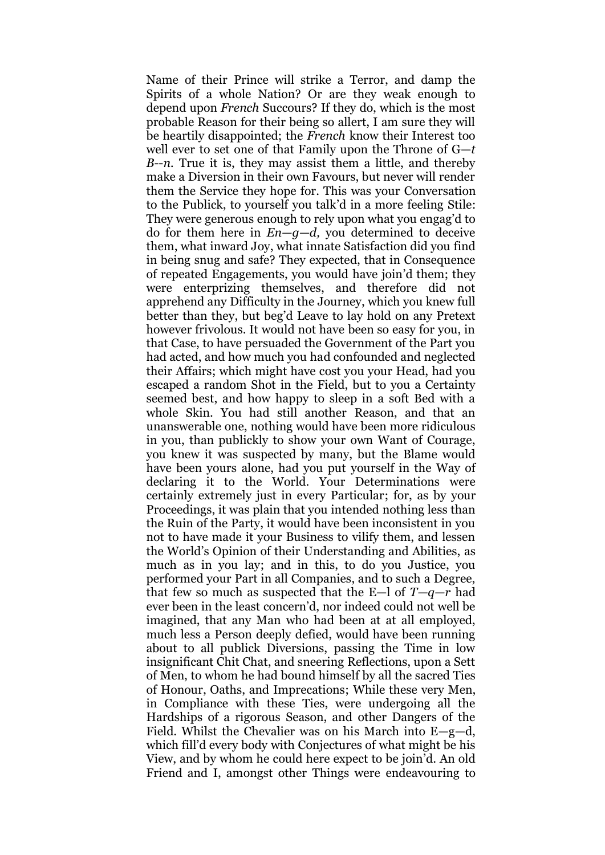Name of their Prince will strike a Terror, and damp the Spirits of a whole Nation? Or are they weak enough to depend upon *French* Succours? If they do, which is the most probable Reason for their being so allert, I am sure they will be heartily disappointed; the *French* know their Interest too well ever to set one of that Family upon the Throne of G—*t B*--*n.* True it is, they may assist them a little, and thereby make a Diversion in their own Favours, but never will render them the Service they hope for. This was your Conversation to the Publick, to yourself you talk'd in a more feeling Stile: They were generous enough to rely upon what you engag'd to do for them here in *En—g—d,* you determined to deceive them, what inward Joy, what innate Satisfaction did you find in being snug and safe? They expected, that in Consequence of repeated Engagements, you would have join'd them; they were enterprizing themselves, and therefore did not apprehend any Difficulty in the Journey, which you knew full better than they, but beg'd Leave to lay hold on any Pretext however frivolous. It would not have been so easy for you, in that Case, to have persuaded the Government of the Part you had acted, and how much you had confounded and neglected their Affairs; which might have cost you your Head, had you escaped a random Shot in the Field, but to you a Certainty seemed best, and how happy to sleep in a soft Bed with a whole Skin. You had still another Reason, and that an unanswerable one, nothing would have been more ridiculous in you, than publickly to show your own Want of Courage, you knew it was suspected by many, but the Blame would have been yours alone, had you put yourself in the Way of declaring it to the World. Your Determinations were certainly extremely just in every Particular; for, as by your Proceedings, it was plain that you intended nothing less than the Ruin of the Party, it would have been inconsistent in you not to have made it your Business to vilify them, and lessen the World's Opinion of their Understanding and Abilities, as much as in you lay; and in this, to do you Justice, you performed your Part in all Companies, and to such a Degree, that few so much as suspected that the E—l of *T—q—r* had ever been in the least concern'd, nor indeed could not well be imagined, that any Man who had been at at all employed, much less a Person deeply defied, would have been running about to all publick Diversions, passing the Time in low insignificant Chit Chat, and sneering Reflections, upon a Sett of Men, to whom he had bound himself by all the sacred Ties of Honour, Oaths, and Imprecations; While these very Men, in Compliance with these Ties, were undergoing all the Hardships of a rigorous Season, and other Dangers of the Field. Whilst the Chevalier was on his March into E—g—d, which fill'd every body with Conjectures of what might be his View, and by whom he could here expect to be join'd. An old Friend and I, amongst other Things were endeavouring to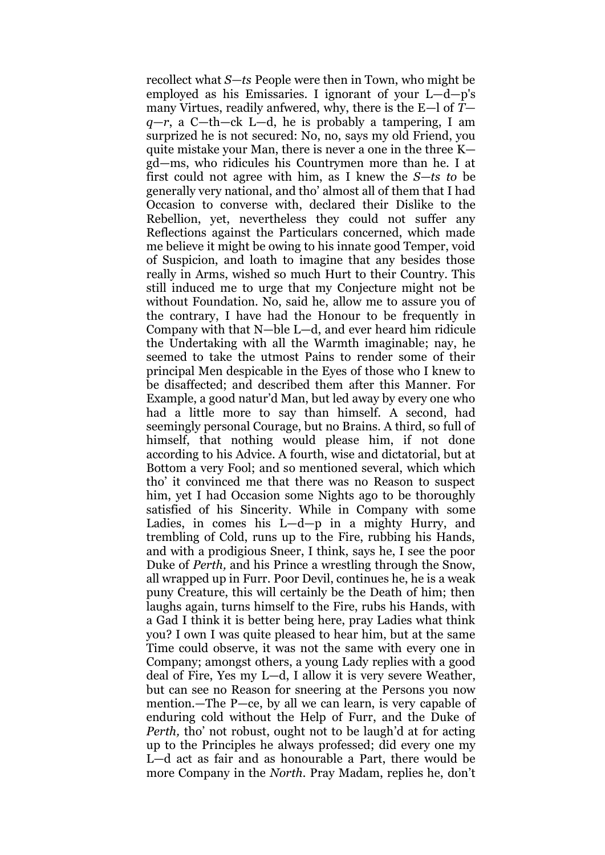recollect what *S—ts* People were then in Town, who might be employed as his Emissaries. I ignorant of your L—d—p's many Virtues, readily anfwered, why, there is the E—l of *T q—r*, a C—th—ck L—d, he is probably a tampering, I am surprized he is not secured: No, no, says my old Friend, you quite mistake your Man, there is never a one in the three K gd—ms, who ridicules his Countrymen more than he. I at first could not agree with him, as I knew the *S—ts to* be generally very national, and tho' almost all of them that I had Occasion to converse with, declared their Dislike to the Rebellion, yet, nevertheless they could not suffer any Reflections against the Particulars concerned, which made me believe it might be owing to his innate good Temper, void of Suspicion, and loath to imagine that any besides those really in Arms, wished so much Hurt to their Country. This still induced me to urge that my Conjecture might not be without Foundation. No, said he, allow me to assure you of the contrary, I have had the Honour to be frequently in Company with that N—ble L—d, and ever heard him ridicule the Undertaking with all the Warmth imaginable; nay, he seemed to take the utmost Pains to render some of their principal Men despicable in the Eyes of those who I knew to be disaffected; and described them after this Manner. For Example, a good natur'd Man, but led away by every one who had a little more to say than himself. A second, had seemingly personal Courage, but no Brains. A third, so full of himself, that nothing would please him, if not done according to his Advice. A fourth, wise and dictatorial, but at Bottom a very Fool; and so mentioned several, which which tho' it convinced me that there was no Reason to suspect him, yet I had Occasion some Nights ago to be thoroughly satisfied of his Sincerity. While in Company with some Ladies, in comes his L—d—p in a mighty Hurry, and trembling of Cold, runs up to the Fire, rubbing his Hands, and with a prodigious Sneer, I think, says he, I see the poor Duke of *Perth,* and his Prince a wrestling through the Snow, all wrapped up in Furr. Poor Devil, continues he, he is a weak puny Creature, this will certainly be the Death of him; then laughs again, turns himself to the Fire, rubs his Hands, with a Gad I think it is better being here, pray Ladies what think you? I own I was quite pleased to hear him, but at the same Time could observe, it was not the same with every one in Company; amongst others, a young Lady replies with a good deal of Fire, Yes my L—d, I allow it is very severe Weather, but can see no Reason for sneering at the Persons you now mention.—The P—ce, by all we can learn, is very capable of enduring cold without the Help of Furr, and the Duke of *Perth, tho' not robust, ought not to be laugh'd at for acting* up to the Principles he always professed; did every one my L—d act as fair and as honourable a Part, there would be more Company in the *North.* Pray Madam, replies he, don't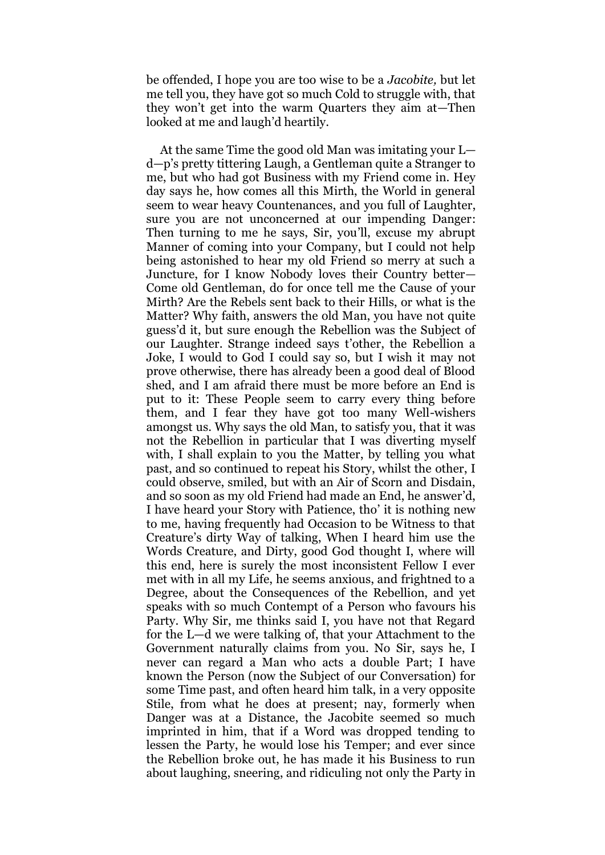be offended, I hope you are too wise to be a *Jacobite,* but let me tell you, they have got so much Cold to struggle with, that they won't get into the warm Quarters they aim at—Then looked at me and laugh'd heartily.

At the same Time the good old Man was imitating your L d—p's pretty tittering Laugh, a Gentleman quite a Stranger to me, but who had got Business with my Friend come in. Hey day says he, how comes all this Mirth, the World in general seem to wear heavy Countenances, and you full of Laughter, sure you are not unconcerned at our impending Danger: Then turning to me he says, Sir, you'll, excuse my abrupt Manner of coming into your Company, but I could not help being astonished to hear my old Friend so merry at such a Juncture, for I know Nobody loves their Country better*—* Come old Gentleman, do for once tell me the Cause of your Mirth? Are the Rebels sent back to their Hills, or what is the Matter? Why faith, answers the old Man, you have not quite guess'd it, but sure enough the Rebellion was the Subject of our Laughter. Strange indeed says t'other, the Rebellion a Joke, I would to God I could say so, but I wish it may not prove otherwise, there has already been a good deal of Blood shed, and I am afraid there must be more before an End is put to it: These People seem to carry every thing before them, and I fear they have got too many Well-wishers amongst us. Why says the old Man, to satisfy you, that it was not the Rebellion in particular that I was diverting myself with, I shall explain to you the Matter, by telling you what past, and so continued to repeat his Story, whilst the other, I could observe, smiled, but with an Air of Scorn and Disdain, and so soon as my old Friend had made an End, he answer'd, I have heard your Story with Patience, tho' it is nothing new to me, having frequently had Occasion to be Witness to that Creature's dirty Way of talking, When I heard him use the Words Creature, and Dirty, good God thought I, where will this end, here is surely the most inconsistent Fellow I ever met with in all my Life, he seems anxious, and frightned to a Degree, about the Consequences of the Rebellion, and yet speaks with so much Contempt of a Person who favours his Party. Why Sir, me thinks said I, you have not that Regard for the L—d we were talking of, that your Attachment to the Government naturally claims from you. No Sir, says he, I never can regard a Man who acts a double Part; I have known the Person (now the Subject of our Conversation) for some Time past, and often heard him talk, in a very opposite Stile, from what he does at present; nay, formerly when Danger was at a Distance, the Jacobite seemed so much imprinted in him, that if a Word was dropped tending to lessen the Party, he would lose his Temper; and ever since the Rebellion broke out, he has made it his Business to run about laughing, sneering, and ridiculing not only the Party in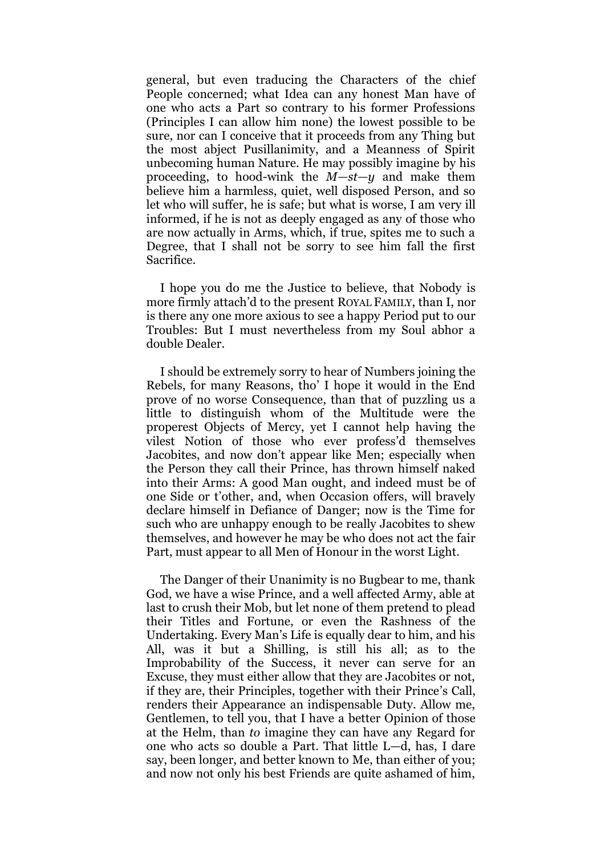general, but even traducing the Characters of the chief People concerned; what Idea can any honest Man have of one who acts a Part so contrary to his former Professions (Principles I can allow him none) the lowest possible to be sure, nor can I conceive that it proceeds from any Thing but the most abject Pusillanimity, and a Meanness of Spirit unbecoming human Nature. He may possibly imagine by his proceeding, to hood-wink the *M—st—y* and make them believe him a harmless, quiet, well disposed Person, and so let who will suffer, he is safe; but what is worse, I am very ill informed, if he is not as deeply engaged as any of those who are now actually in Arms, which, if true, spites me to such a Degree, that I shall not be sorry to see him fall the first Sacrifice.

I hope you do me the Justice to believe, that Nobody is more firmly attach'd to the present ROYAL FAMILY, than I, nor is there any one more axious to see a happy Period put to our Troubles: But I must nevertheless from my Soul abhor a double Dealer.

I should be extremely sorry to hear of Numbers joining the Rebels, for many Reasons, tho' I hope it would in the End prove of no worse Consequence, than that of puzzling us a little to distinguish whom of the Multitude were the properest Objects of Mercy, yet I cannot help having the vilest Notion of those who ever profess'd themselves Jacobites, and now don't appear like Men; especially when the Person they call their Prince, has thrown himself naked into their Arms: A good Man ought, and indeed must be of one Side or t'other, and, when Occasion offers, will bravely declare himself in Defiance of Danger; now is the Time for such who are unhappy enough to be really Jacobites to shew themselves, and however he may be who does not act the fair Part, must appear to all Men of Honour in the worst Light.

The Danger of their Unanimity is no Bugbear to me, thank God, we have a wise Prince, and a well affected Army, able at last to crush their Mob, but let none of them pretend to plead their Titles and Fortune, or even the Rashness of the Undertaking. Every Man's Life is equally dear to him, and his All, was it but a Shilling, is still his all; as to the Improbability of the Success, it never can serve for an Excuse, they must either allow that they are Jacobites or not, if they are, their Principles, together with their Prince's Call, renders their Appearance an indispensable Duty. Allow me, Gentlemen, to tell you, that I have a better Opinion of those at the Helm, than *to* imagine they can have any Regard for one who acts so double a Part. That little L—d, has, I dare say, been longer, and better known to Me, than either of you; and now not only his best Friends are quite ashamed of him,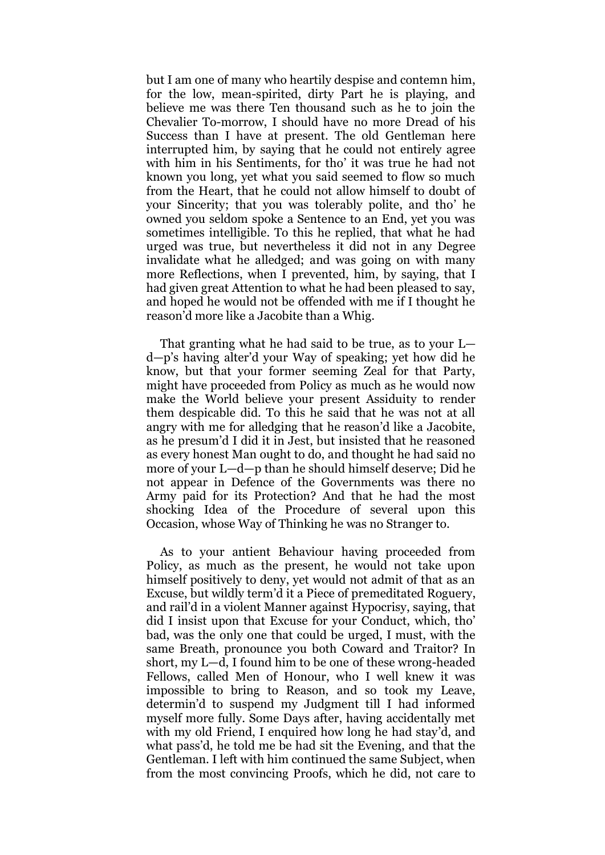but I am one of many who heartily despise and contemn him, for the low, mean-spirited, dirty Part he is playing, and believe me was there Ten thousand such as he to join the Chevalier To-morrow, I should have no more Dread of his Success than I have at present. The old Gentleman here interrupted him, by saying that he could not entirely agree with him in his Sentiments, for tho' it was true he had not known you long, yet what you said seemed to flow so much from the Heart, that he could not allow himself to doubt of your Sincerity; that you was tolerably polite, and tho' he owned you seldom spoke a Sentence to an End, yet you was sometimes intelligible. To this he replied, that what he had urged was true, but nevertheless it did not in any Degree invalidate what he alledged; and was going on with many more Reflections, when I prevented, him, by saying, that I had given great Attention to what he had been pleased to say, and hoped he would not be offended with me if I thought he reason'd more like a Jacobite than a Whig.

That granting what he had said to be true, as to your L d—p's having alter'd your Way of speaking; yet how did he know, but that your former seeming Zeal for that Party, might have proceeded from Policy as much as he would now make the World believe your present Assiduity to render them despicable did. To this he said that he was not at all angry with me for alledging that he reason'd like a Jacobite, as he presum'd I did it in Jest, but insisted that he reasoned as every honest Man ought to do, and thought he had said no more of your L—d—p than he should himself deserve; Did he not appear in Defence of the Governments was there no Army paid for its Protection? And that he had the most shocking Idea of the Procedure of several upon this Occasion, whose Way of Thinking he was no Stranger to.

As to your antient Behaviour having proceeded from Policy, as much as the present, he would not take upon himself positively to deny, yet would not admit of that as an Excuse, but wildly term'd it a Piece of premeditated Roguery, and rail'd in a violent Manner against Hypocrisy, saying, that did I insist upon that Excuse for your Conduct, which, tho' bad, was the only one that could be urged, I must, with the same Breath, pronounce you both Coward and Traitor? In short, my L—d, I found him to be one of these wrong-headed Fellows, called Men of Honour, who I well knew it was impossible to bring to Reason, and so took my Leave, determin'd to suspend my Judgment till I had informed myself more fully. Some Days after, having accidentally met with my old Friend, I enquired how long he had stay'd, and what pass'd, he told me be had sit the Evening, and that the Gentleman. I left with him continued the same Subject, when from the most convincing Proofs, which he did, not care to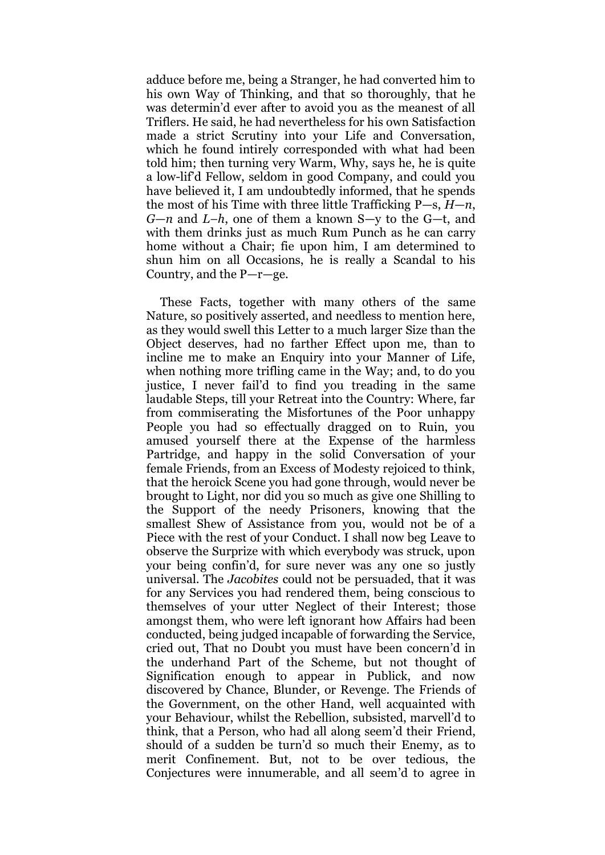adduce before me, being a Stranger, he had converted him to his own Way of Thinking, and that so thoroughly, that he was determin'd ever after to avoid you as the meanest of all Triflers. He said, he had nevertheless for his own Satisfaction made a strict Scrutiny into your Life and Conversation, which he found intirely corresponded with what had been told him; then turning very Warm, Why, says he, he is quite a low-lif'd Fellow, seldom in good Company, and could you have believed it, I am undoubtedly informed, that he spends the most of his Time with three little Trafficking P—s, *H*—*n*, *G*—*n* and *L–h*, one of them a known S—y to the G—t, and with them drinks just as much Rum Punch as he can carry home without a Chair; fie upon him, I am determined to shun him on all Occasions, he is really a Scandal to his Country, and the P—r—ge.

These Facts, together with many others of the same Nature, so positively asserted, and needless to mention here, as they would swell this Letter to a much larger Size than the Object deserves, had no farther Effect upon me, than to incline me to make an Enquiry into your Manner of Life, when nothing more trifling came in the Way; and, to do you justice, I never fail'd to find you treading in the same laudable Steps, till your Retreat into the Country: Where, far from commiserating the Misfortunes of the Poor unhappy People you had so effectually dragged on to Ruin, you amused yourself there at the Expense of the harmless Partridge, and happy in the solid Conversation of your female Friends, from an Excess of Modesty rejoiced to think, that the heroick Scene you had gone through, would never be brought to Light, nor did you so much as give one Shilling to the Support of the needy Prisoners, knowing that the smallest Shew of Assistance from you, would not be of a Piece with the rest of your Conduct. I shall now beg Leave to observe the Surprize with which everybody was struck, upon your being confin'd, for sure never was any one so justly universal. The *Jacobites* could not be persuaded, that it was for any Services you had rendered them, being conscious to themselves of your utter Neglect of their Interest; those amongst them, who were left ignorant how Affairs had been conducted, being judged incapable of forwarding the Service, cried out, That no Doubt you must have been concern'd in the underhand Part of the Scheme, but not thought of Signification enough to appear in Publick, and now discovered by Chance, Blunder, or Revenge. The Friends of the Government, on the other Hand, well acquainted with your Behaviour, whilst the Rebellion, subsisted, marvell'd to think, that a Person, who had all along seem'd their Friend, should of a sudden be turn'd so much their Enemy, as to merit Confinement. But, not to be over tedious, the Conjectures were innumerable, and all seem'd to agree in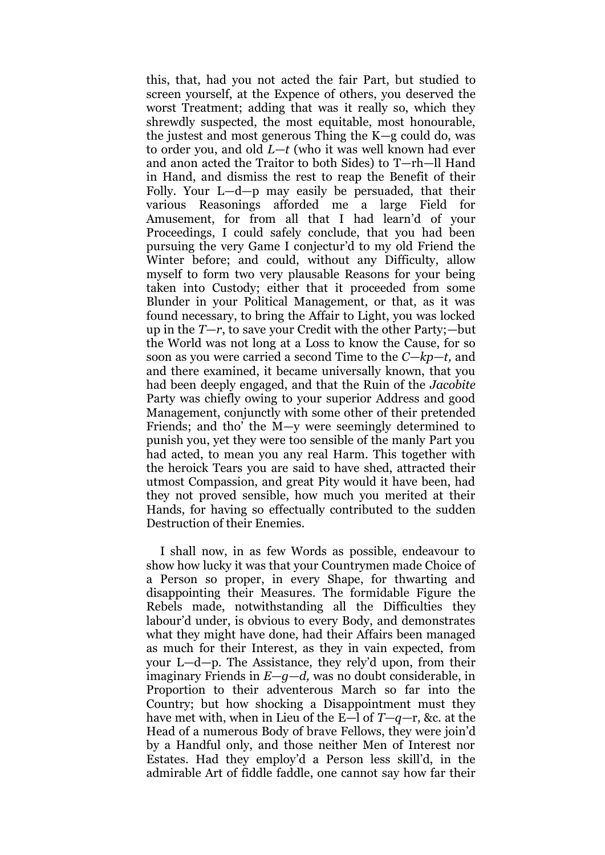this, that, had you not acted the fair Part, but studied to screen yourself, at the Expence of others, you deserved the worst Treatment; adding that was it really so, which they shrewdly suspected, the most equitable, most honourable, the justest and most generous Thing the K—g could do, was to order you, and old *L—t* (who it was well known had ever and anon acted the Traitor to both Sides) to T—rh—ll Hand in Hand, and dismiss the rest to reap the Benefit of their Folly. Your L—d—p may easily be persuaded, that their various Reasonings afforded me a large Field for Amusement, for from all that I had learn'd of your Proceedings, I could safely conclude, that you had been pursuing the very Game I conjectur'd to my old Friend the Winter before; and could, without any Difficulty, allow myself to form two very plausable Reasons for your being taken into Custody; either that it proceeded from some Blunder in your Political Management, or that, as it was found necessary, to bring the Affair to Light, you was locked up in the *T—r*, to save your Credit with the other Party;—but the World was not long at a Loss to know the Cause, for so soon as you were carried a second Time to the *C—kp—t,* and and there examined, it became universally known, that you had been deeply engaged, and that the Ruin of the *Jacobite*  Party was chiefly owing to your superior Address and good Management, conjunctly with some other of their pretended Friends; and tho' the M—y were seemingly determined to punish you, yet they were too sensible of the manly Part you had acted, to mean you any real Harm. This together with the heroick Tears you are said to have shed, attracted their utmost Compassion, and great Pity would it have been, had they not proved sensible, how much you merited at their Hands, for having so effectually contributed to the sudden Destruction of their Enemies.

I shall now, in as few Words as possible, endeavour to show how lucky it was that your Countrymen made Choice of a Person so proper, in every Shape, for thwarting and disappointing their Measures. The formidable Figure the Rebels made, notwithstanding all the Difficulties they labour'd under, is obvious to every Body, and demonstrates what they might have done, had their Affairs been managed as much for their Interest, as they in vain expected, from your L—d—p. The Assistance, they rely'd upon, from their imaginary Friends in *E—g—d,* was no doubt considerable, in Proportion to their adventerous March so far into the Country; but how shocking a Disappointment must they have met with, when in Lieu of the E—l of *T—q—*r, &c. at the Head of a numerous Body of brave Fellows, they were join'd by a Handful only, and those neither Men of Interest nor Estates. Had they employ'd a Person less skill'd, in the admirable Art of fiddle faddle, one cannot say how far their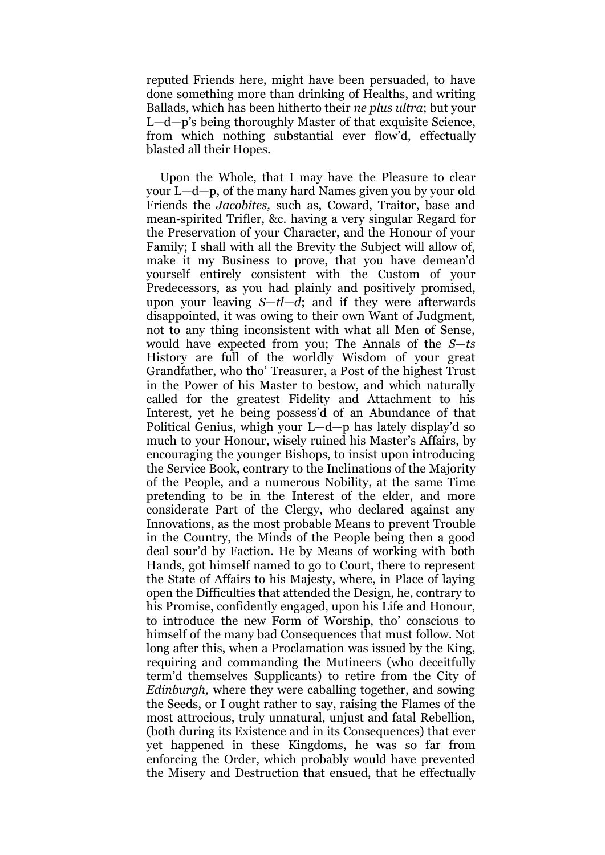reputed Friends here, might have been persuaded, to have done something more than drinking of Healths, and writing Ballads, which has been hitherto their *ne plus ultra*; but your L—d—p's being thoroughly Master of that exquisite Science, from which nothing substantial ever flow'd, effectually blasted all their Hopes.

Upon the Whole, that I may have the Pleasure to clear your L—d—p, of the many hard Names given you by your old Friends the *Jacobites,* such as, Coward, Traitor, base and mean-spirited Trifler, &c. having a very singular Regard for the Preservation of your Character, and the Honour of your Family; I shall with all the Brevity the Subject will allow of, make it my Business to prove, that you have demean'd yourself entirely consistent with the Custom of your Predecessors, as you had plainly and positively promised, upon your leaving *S*—*tl—d*; and if they were afterwards disappointed, it was owing to their own Want of Judgment, not to any thing inconsistent with what all Men of Sense, would have expected from you; The Annals of the *S*—*ts*  History are full of the worldly Wisdom of your great Grandfather, who tho' Treasurer, a Post of the highest Trust in the Power of his Master to bestow, and which naturally called for the greatest Fidelity and Attachment to his Interest, yet he being possess'd of an Abundance of that Political Genius, whigh your L—d—p has lately display'd so much to your Honour, wisely ruined his Master's Affairs, by encouraging the younger Bishops, to insist upon introducing the Service Book, contrary to the Inclinations of the Majority of the People, and a numerous Nobility, at the same Time pretending to be in the Interest of the elder, and more considerate Part of the Clergy, who declared against any Innovations, as the most probable Means to prevent Trouble in the Country, the Minds of the People being then a good deal sour'd by Faction. He by Means of working with both Hands, got himself named to go to Court, there to represent the State of Affairs to his Majesty, where, in Place of laying open the Difficulties that attended the Design, he, contrary to his Promise, confidently engaged, upon his Life and Honour, to introduce the new Form of Worship, tho' conscious to himself of the many bad Consequences that must follow. Not long after this, when a Proclamation was issued by the King, requiring and commanding the Mutineers (who deceitfully term'd themselves Supplicants) to retire from the City of *Edinburgh,* where they were caballing together, and sowing the Seeds, or I ought rather to say, raising the Flames of the most attrocious, truly unnatural, unjust and fatal Rebellion, (both during its Existence and in its Consequences) that ever yet happened in these Kingdoms, he was so far from enforcing the Order, which probably would have prevented the Misery and Destruction that ensued, that he effectually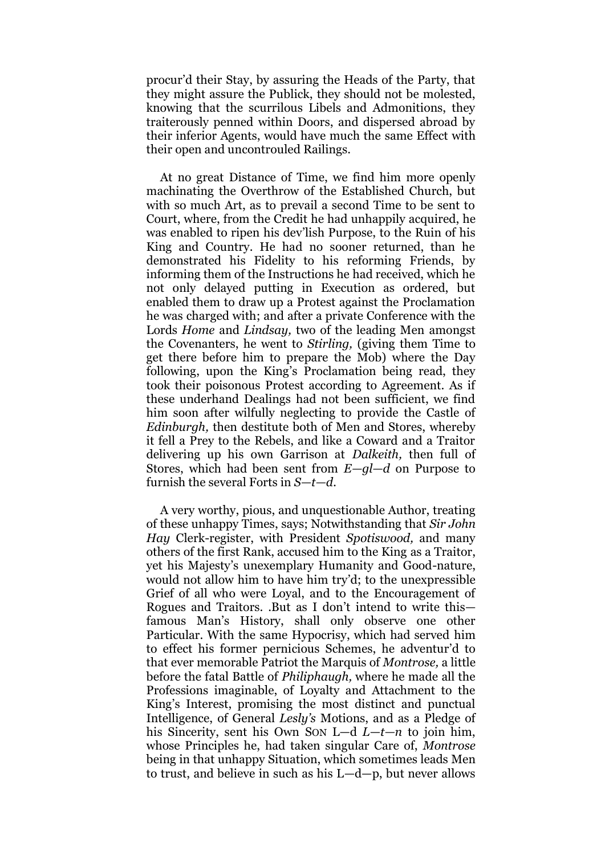procur'd their Stay, by assuring the Heads of the Party, that they might assure the Publick, they should not be molested, knowing that the scurrilous Libels and Admonitions, they traiterously penned within Doors, and dispersed abroad by their inferior Agents, would have much the same Effect with their open and uncontrouled Railings.

At no great Distance of Time, we find him more openly machinating the Overthrow of the Established Church, but with so much Art, as to prevail a second Time to be sent to Court, where, from the Credit he had unhappily acquired, he was enabled to ripen his dev'lish Purpose, to the Ruin of his King and Country. He had no sooner returned, than he demonstrated his Fidelity to his reforming Friends, by informing them of the Instructions he had received, which he not only delayed putting in Execution as ordered, but enabled them to draw up a Protest against the Proclamation he was charged with; and after a private Conference with the Lords *Home* and *Lindsay,* two of the leading Men amongst the Covenanters, he went to *Stirling,* (giving them Time to get there before him to prepare the Mob) where the Day following, upon the King's Proclamation being read, they took their poisonous Protest according to Agreement. As if these underhand Dealings had not been sufficient, we find him soon after wilfully neglecting to provide the Castle of *Edinburgh,* then destitute both of Men and Stores, whereby it fell a Prey to the Rebels, and like a Coward and a Traitor delivering up his own Garrison at *Dalkeith,* then full of Stores, which had been sent from *E—gl—d* on Purpose to furnish the several Forts in *S—t—d.*

A very worthy, pious, and unquestionable Author, treating of these unhappy Times, says; Notwithstanding that *Sir John Hay* Clerk-register, with President *Spotiswood,* and many others of the first Rank, accused him to the King as a Traitor, yet his Majesty's unexemplary Humanity and Good-nature, would not allow him to have him try'd; to the unexpressible Grief of all who were Loyal, and to the Encouragement of Rogues and Traitors. .But as I don't intend to write this famous Man's History, shall only observe one other Particular. With the same Hypocrisy, which had served him to effect his former pernicious Schemes, he adventur'd to that ever memorable Patriot the Marquis of *Montrose,* a little before the fatal Battle of *Philiphaugh,* where he made all the Professions imaginable, of Loyalty and Attachment to the King's Interest, promising the most distinct and punctual Intelligence, of General *Lesly's* Motions, and as a Pledge of his Sincerity, sent his Own SON L—d *L*—*t—n* to join him, whose Principles he, had taken singular Care of, *Montrose*  being in that unhappy Situation, which sometimes leads Men to trust, and believe in such as his L—d—p, but never allows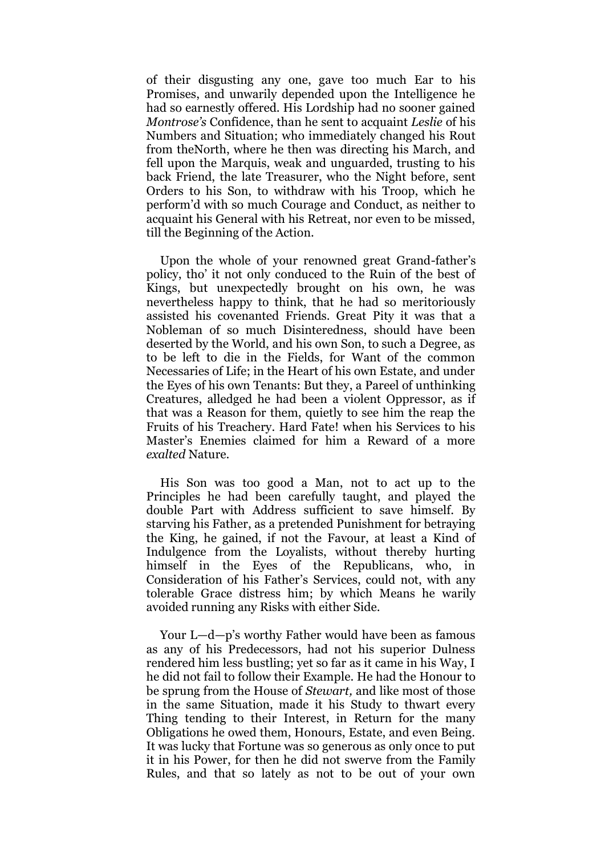of their disgusting any one, gave too much Ear to his Promises, and unwarily depended upon the Intelligence he had so earnestly offered. His Lordship had no sooner gained *Montrose's* Confidence, than he sent to acquaint *Leslie* of his Numbers and Situation; who immediately changed his Rout from theNorth, where he then was directing his March, and fell upon the Marquis, weak and unguarded, trusting to his back Friend, the late Treasurer, who the Night before, sent Orders to his Son, to withdraw with his Troop, which he perform'd with so much Courage and Conduct, as neither to acquaint his General with his Retreat, nor even to be missed, till the Beginning of the Action.

Upon the whole of your renowned great Grand-father's policy, tho' it not only conduced to the Ruin of the best of Kings, but unexpectedly brought on his own, he was nevertheless happy to think, that he had so meritoriously assisted his covenanted Friends. Great Pity it was that a Nobleman of so much Disinteredness, should have been deserted by the World, and his own Son, to such a Degree, as to be left to die in the Fields, for Want of the common Necessaries of Life; in the Heart of his own Estate, and under the Eyes of his own Tenants: But they, a Pareel of unthinking Creatures, alledged he had been a violent Oppressor, as if that was a Reason for them, quietly to see him the reap the Fruits of his Treachery. Hard Fate! when his Services to his Master's Enemies claimed for him a Reward of a more *exalted* Nature.

His Son was too good a Man, not to act up to the Principles he had been carefully taught, and played the double Part with Address sufficient to save himself. By starving his Father, as a pretended Punishment for betraying the King, he gained, if not the Favour, at least a Kind of Indulgence from the Loyalists, without thereby hurting himself in the Eyes of the Republicans, who, in Consideration of his Father's Services, could not, with any tolerable Grace distress him; by which Means he warily avoided running any Risks with either Side.

Your L—d—p's worthy Father would have been as famous as any of his Predecessors, had not his superior Dulness rendered him less bustling; yet so far as it came in his Way, I he did not fail to follow their Example. He had the Honour to be sprung from the House of *Stewart,* and like most of those in the same Situation, made it his Study to thwart every Thing tending to their Interest, in Return for the many Obligations he owed them, Honours, Estate, and even Being. It was lucky that Fortune was so generous as only once to put it in his Power, for then he did not swerve from the Family Rules, and that so lately as not to be out of your own